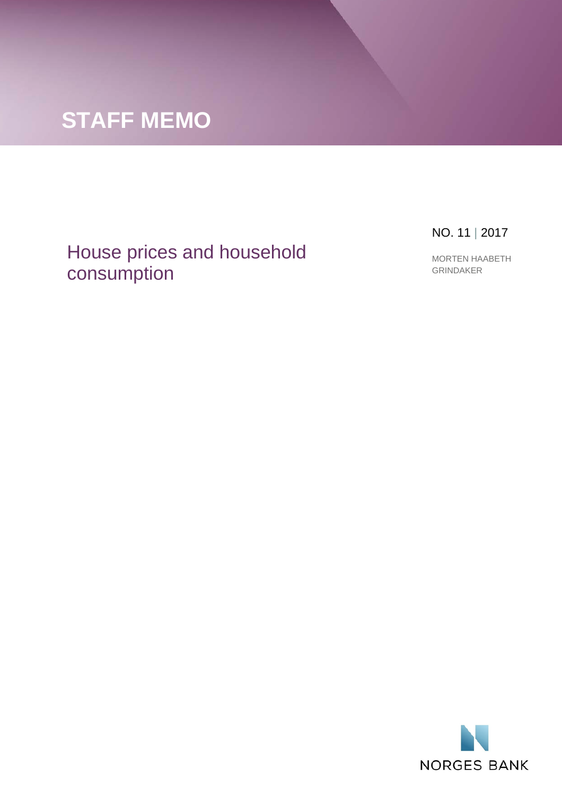

## House prices and household consumption

NO. 11 | 2017

MORTEN HAABETH GRINDAKER

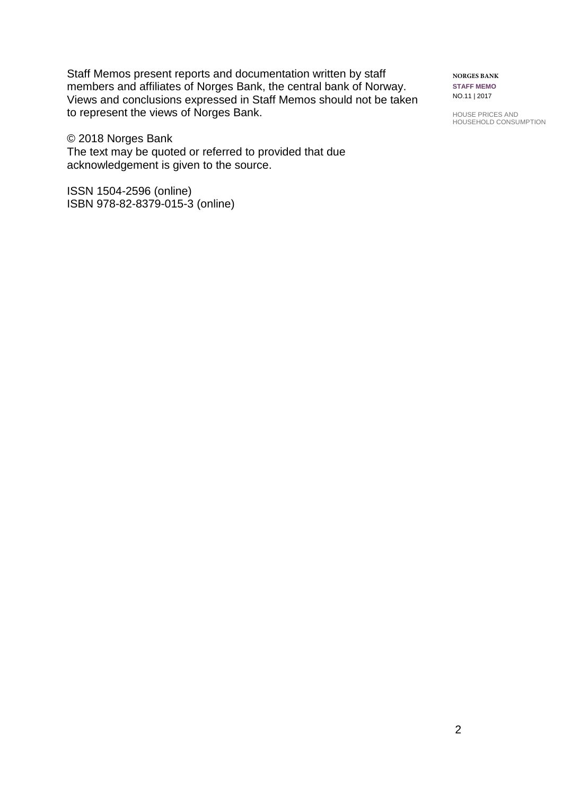Staff Memos present reports and documentation written by staff members and affiliates of Norges Bank, the central bank of Norway. Views and conclusions expressed in Staff Memos should not be taken to represent the views of Norges Bank.

© 2018 Norges Bank The text may be quoted or referred to provided that due acknowledgement is given to the source.

ISSN 1504-2596 (online) ISBN 978-82-8379-015-3 (online) **NORGES BANK STAFF MEMO** NO.11 | 2017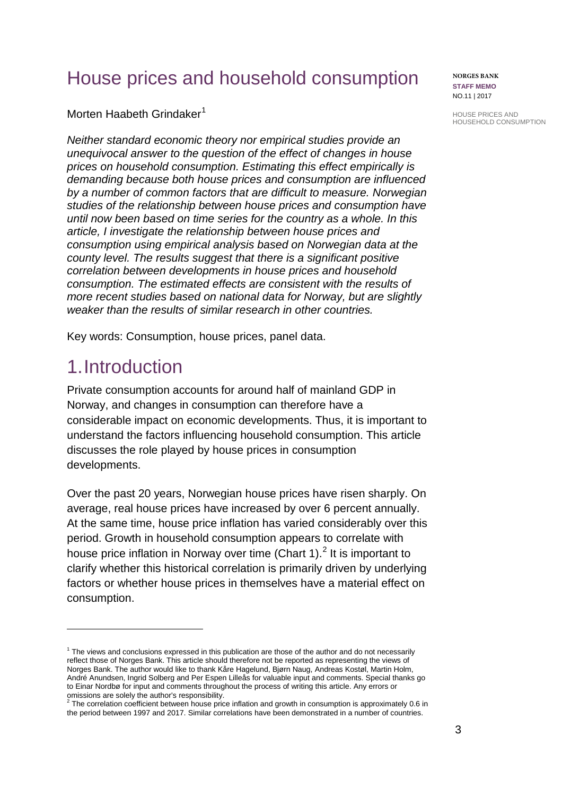# House prices and household consumption

Morten Haabeth Grindaker<sup>[1](#page-2-0)</sup>

*Neither standard economic theory nor empirical studies provide an unequivocal answer to the question of the effect of changes in house prices on household consumption. Estimating this effect empirically is demanding because both house prices and consumption are influenced by a number of common factors that are difficult to measure. Norwegian studies of the relationship between house prices and consumption have until now been based on time series for the country as a whole. In this article, I investigate the relationship between house prices and consumption using empirical analysis based on Norwegian data at the county level. The results suggest that there is a significant positive correlation between developments in house prices and household consumption. The estimated effects are consistent with the results of more recent studies based on national data for Norway, but are slightly weaker than the results of similar research in other countries.* 

Key words: Consumption, house prices, panel data.

## 1.Introduction

 $\overline{a}$ 

Private consumption accounts for around half of mainland GDP in Norway, and changes in consumption can therefore have a considerable impact on economic developments. Thus, it is important to understand the factors influencing household consumption. This article discusses the role played by house prices in consumption developments.

Over the past 20 years, Norwegian house prices have risen sharply. On average, real house prices have increased by over 6 percent annually. At the same time, house price inflation has varied considerably over this period. Growth in household consumption appears to correlate with house price inflation in Norway over time (Chart 1).<sup>[2](#page-2-1)</sup> It is important to clarify whether this historical correlation is primarily driven by underlying factors or whether house prices in themselves have a material effect on consumption.

**NORGES BANK STAFF MEMO** NO.11 | 2017

<span id="page-2-0"></span> $<sup>1</sup>$  The views and conclusions expressed in this publication are those of the author and do not necessarily</sup> reflect those of Norges Bank. This article should therefore not be reported as representing the views of Norges Bank. The author would like to thank Kåre Hagelund, Bjørn Naug, Andreas Kostøl, Martin Holm, André Anundsen, Ingrid Solberg and Per Espen Lilleås for valuable input and comments. Special thanks go to Einar Nordbø for input and comments throughout the process of writing this article. Any errors or

<span id="page-2-1"></span>omissions are solely the author's responsibility.<br><sup>2</sup> The correlation coefficient between house price inflation and growth in consumption is approximately 0.6 in the period between 1997 and 2017. Similar correlations have been demonstrated in a number of countries.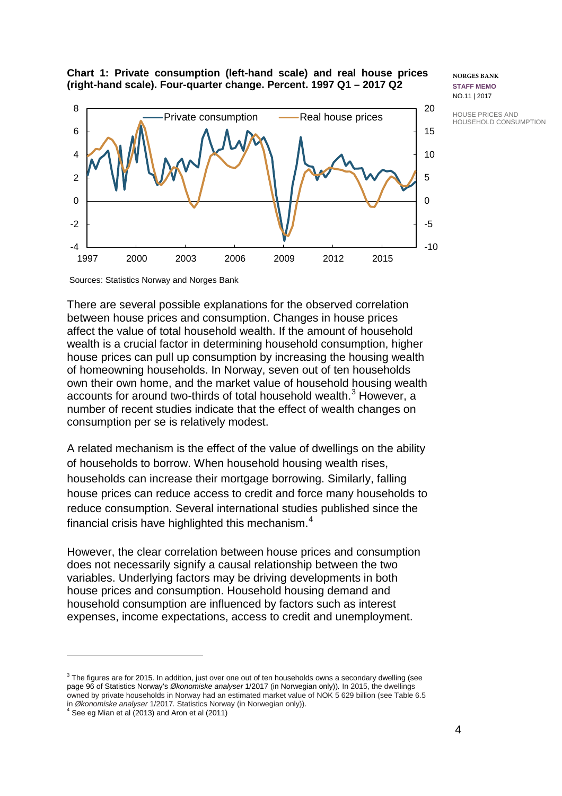HOUSE PRICES AND HOUSEHOLD CONSUMPTION

#### **Chart 1: Private consumption (left-hand scale) and real house prices (right-hand scale). Four-quarter change. Percent. 1997 Q1 – 2017 Q2**



**NORGES BANK STAFF MEMO** NO.11 | 2017

Sources: Statistics Norway and Norges Bank

There are several possible explanations for the observed correlation between house prices and consumption. Changes in house prices affect the value of total household wealth. If the amount of household wealth is a crucial factor in determining household consumption, higher house prices can pull up consumption by increasing the housing wealth of homeowning households. In Norway, seven out of ten households own their own home, and the market value of household housing wealth accounts for around two-thirds of total household wealth.<sup>[3](#page-3-0)</sup> However, a number of recent studies indicate that the effect of wealth changes on consumption per se is relatively modest.

A related mechanism is the effect of the value of dwellings on the ability of households to borrow. When household housing wealth rises, households can increase their mortgage borrowing. Similarly, falling house prices can reduce access to credit and force many households to reduce consumption. Several international studies published since the financial crisis have highlighted this mechanism. $4$ 

However, the clear correlation between house prices and consumption does not necessarily signify a causal relationship between the two variables. Underlying factors may be driving developments in both house prices and consumption. Household housing demand and household consumption are influenced by factors such as interest expenses, income expectations, access to credit and unemployment.

 $\overline{a}$ 

<sup>-5</sup>

<span id="page-3-0"></span> $3$  The figures are for 2015. In addition, just over one out of ten households owns a secondary dwelling (see page 96 of Statistics Norway's *Økonomiske analyser* 1/2017 (in Norwegian only))*.* In 2015, the dwellings owned by private households in Norway had an estimated market value of NOK 5 629 billion (see Table 6.5 in Økonomiske analyser 1/2017. Statistics Norway (in Norwegian only)).<br><sup>4</sup> See eg Mian et al (2013) and Aron et al (2011)

<span id="page-3-1"></span>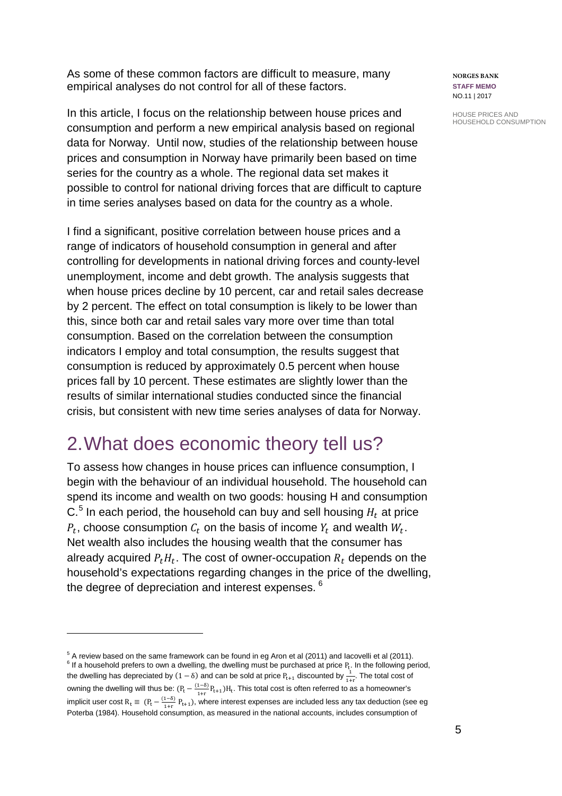As some of these common factors are difficult to measure, many empirical analyses do not control for all of these factors.

In this article, I focus on the relationship between house prices and consumption and perform a new empirical analysis based on regional data for Norway. Until now, studies of the relationship between house prices and consumption in Norway have primarily been based on time series for the country as a whole. The regional data set makes it possible to control for national driving forces that are difficult to capture in time series analyses based on data for the country as a whole.

I find a significant, positive correlation between house prices and a range of indicators of household consumption in general and after controlling for developments in national driving forces and county-level unemployment, income and debt growth. The analysis suggests that when house prices decline by 10 percent, car and retail sales decrease by 2 percent. The effect on total consumption is likely to be lower than this, since both car and retail sales vary more over time than total consumption. Based on the correlation between the consumption indicators I employ and total consumption, the results suggest that consumption is reduced by approximately 0.5 percent when house prices fall by 10 percent. These estimates are slightly lower than the results of similar international studies conducted since the financial crisis, but consistent with new time series analyses of data for Norway.

## 2.What does economic theory tell us?

To assess how changes in house prices can influence consumption, I begin with the behaviour of an individual household. The household can spend its income and wealth on two goods: housing H and consumption  $C<sup>5</sup>$  $C<sup>5</sup>$  $C<sup>5</sup>$  In each period, the household can buy and sell housing  $H_t$  at price  $P_t$ , choose consumption  $C_t$  on the basis of income  $Y_t$  and wealth  $W_t$ . Net wealth also includes the housing wealth that the consumer has already acquired  $P_t H_t$ . The cost of owner-occupation  $R_t$  depends on the household's expectations regarding changes in the price of the dwelling, the degree of depreciation and interest expenses. <sup>[6](#page-4-1)</sup>

**NORGES BANK STAFF MEMO** NO.11 | 2017

<span id="page-4-1"></span><span id="page-4-0"></span><sup>&</sup>lt;sup>5</sup> A review based on the same framework can be found in eg Aron et al (2011) and Iacovelli et al (2011).<br><sup>6</sup> If a household prefers to own a dwelling, the dwelling must be purchased at price P<sub>t</sub>. In the following period the dwelling has depreciated by  $(1 - \delta)$  and can be sold at price  $P_{t+1}$  discounted by  $\frac{1}{1+r}$ . The total cost of owning the dwelling will thus be:  $(P_t - \frac{(1-\delta)}{1+r}P_{t+1})H_t$ . This total cost is often referred to as a homeowner's implicit user cost  $R_t = (P_t - \frac{(1-\delta)}{1+r} P_{t+1})$ , where interest expenses are included less any tax deduction (see eg Poterba (1984). Household consumption, as measured in the national accounts, includes consumption of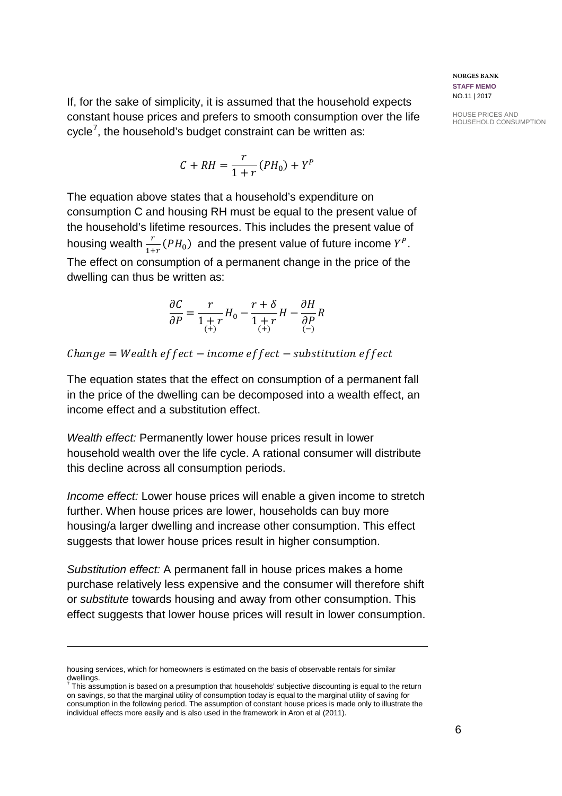If, for the sake of simplicity, it is assumed that the household expects constant house prices and prefers to smooth consumption over the life cycle<sup>[7](#page-5-0)</sup>, the household's budget constraint can be written as:

$$
C + RH = \frac{r}{1+r}(PH_0) + Y^P
$$

The equation above states that a household's expenditure on consumption C and housing RH must be equal to the present value of the household's lifetime resources. This includes the present value of housing wealth  $\frac{r}{1+r}(PH_0)$  and the present value of future income  $Y^P$ . The effect on consumption of a permanent change in the price of the dwelling can thus be written as:

$$
\frac{\partial C}{\partial P} = \frac{r}{1+r} H_0 - \frac{r+\delta}{1+r} H - \frac{\partial H}{\partial P} R
$$

 $Change = Weather$  effect – income effect – substitution effect

The equation states that the effect on consumption of a permanent fall in the price of the dwelling can be decomposed into a wealth effect, an income effect and a substitution effect.

*Wealth effect:* Permanently lower house prices result in lower household wealth over the life cycle. A rational consumer will distribute this decline across all consumption periods.

*Income effect:* Lower house prices will enable a given income to stretch further. When house prices are lower, households can buy more housing/a larger dwelling and increase other consumption. This effect suggests that lower house prices result in higher consumption.

*Substitution effect:* A permanent fall in house prices makes a home purchase relatively less expensive and the consumer will therefore shift or *substitute* towards housing and away from other consumption. This effect suggests that lower house prices will result in lower consumption.

 $\overline{a}$ 

**NORGES BANK STAFF MEMO** NO.11 | 2017

housing services, which for homeowners is estimated on the basis of observable rentals for similar

<span id="page-5-0"></span>dwellings.<br><sup>7</sup> This assumption is based on a presumption that households' subjective discounting is equal to the return on savings, so that the marginal utility of consumption today is equal to the marginal utility of saving for consumption in the following period. The assumption of constant house prices is made only to illustrate the individual effects more easily and is also used in the framework in Aron et al (2011).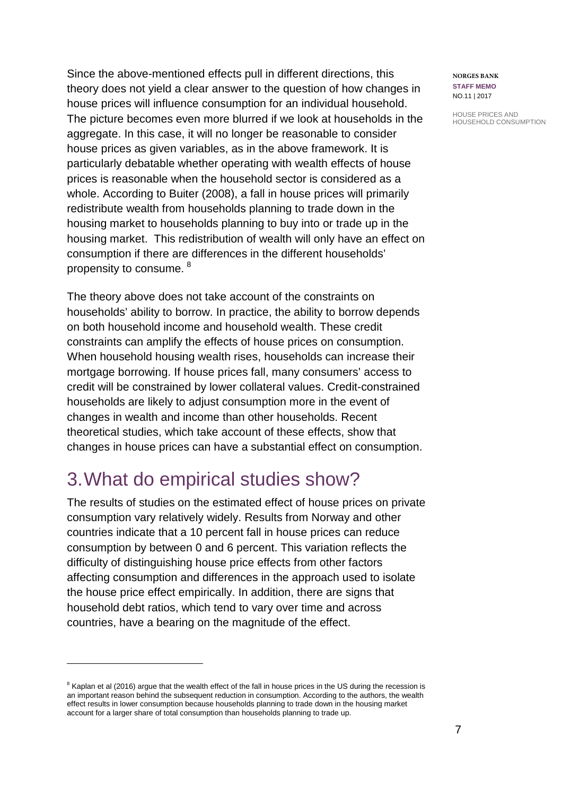Since the above-mentioned effects pull in different directions, this theory does not yield a clear answer to the question of how changes in house prices will influence consumption for an individual household. The picture becomes even more blurred if we look at households in the aggregate. In this case, it will no longer be reasonable to consider house prices as given variables, as in the above framework. It is particularly debatable whether operating with wealth effects of house prices is reasonable when the household sector is considered as a whole. According to Buiter (2008), a fall in house prices will primarily redistribute wealth from households planning to trade down in the housing market to households planning to buy into or trade up in the housing market. This redistribution of wealth will only have an effect on consumption if there are differences in the different households' propensity to consume.  $^8$  $^8$ 

The theory above does not take account of the constraints on households' ability to borrow. In practice, the ability to borrow depends on both household income and household wealth. These credit constraints can amplify the effects of house prices on consumption. When household housing wealth rises, households can increase their mortgage borrowing. If house prices fall, many consumers' access to credit will be constrained by lower collateral values. Credit-constrained households are likely to adjust consumption more in the event of changes in wealth and income than other households. Recent theoretical studies, which take account of these effects, show that changes in house prices can have a substantial effect on consumption.

## 3.What do empirical studies show?

 $\overline{a}$ 

The results of studies on the estimated effect of house prices on private consumption vary relatively widely. Results from Norway and other countries indicate that a 10 percent fall in house prices can reduce consumption by between 0 and 6 percent. This variation reflects the difficulty of distinguishing house price effects from other factors affecting consumption and differences in the approach used to isolate the house price effect empirically. In addition, there are signs that household debt ratios, which tend to vary over time and across countries, have a bearing on the magnitude of the effect.

**NORGES BANK STAFF MEMO** NO.11 | 2017

<span id="page-6-0"></span> $8$  Kaplan et al (2016) argue that the wealth effect of the fall in house prices in the US during the recession is an important reason behind the subsequent reduction in consumption. According to the authors, the wealth effect results in lower consumption because households planning to trade down in the housing market account for a larger share of total consumption than households planning to trade up.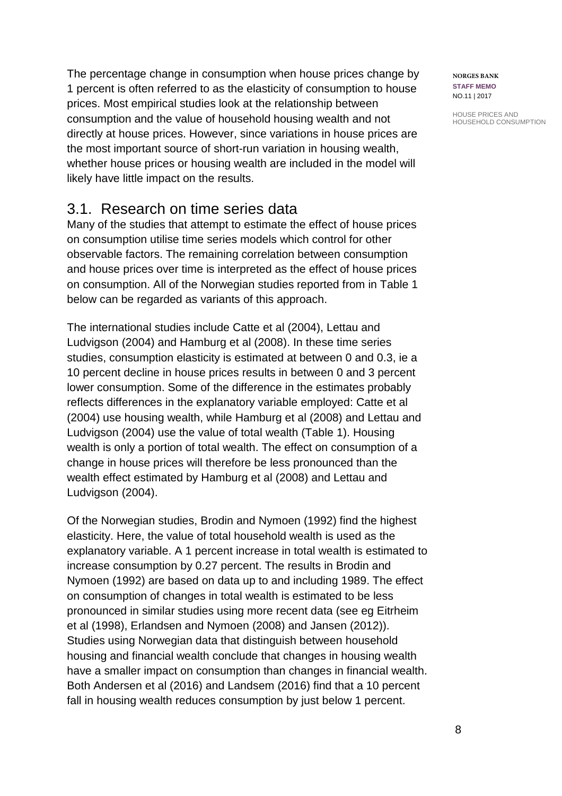The percentage change in consumption when house prices change by 1 percent is often referred to as the elasticity of consumption to house prices. Most empirical studies look at the relationship between consumption and the value of household housing wealth and not directly at house prices. However, since variations in house prices are the most important source of short-run variation in housing wealth, whether house prices or housing wealth are included in the model will likely have little impact on the results.

## 3.1. Research on time series data

Many of the studies that attempt to estimate the effect of house prices on consumption utilise time series models which control for other observable factors. The remaining correlation between consumption and house prices over time is interpreted as the effect of house prices on consumption. All of the Norwegian studies reported from in Table 1 below can be regarded as variants of this approach.

The international studies include Catte et al (2004), Lettau and Ludvigson (2004) and Hamburg et al (2008). In these time series studies, consumption elasticity is estimated at between 0 and 0.3, ie a 10 percent decline in house prices results in between 0 and 3 percent lower consumption. Some of the difference in the estimates probably reflects differences in the explanatory variable employed: Catte et al (2004) use housing wealth, while Hamburg et al (2008) and Lettau and Ludvigson (2004) use the value of total wealth (Table 1). Housing wealth is only a portion of total wealth. The effect on consumption of a change in house prices will therefore be less pronounced than the wealth effect estimated by Hamburg et al (2008) and Lettau and Ludvigson (2004).

Of the Norwegian studies, Brodin and Nymoen (1992) find the highest elasticity. Here, the value of total household wealth is used as the explanatory variable. A 1 percent increase in total wealth is estimated to increase consumption by 0.27 percent. The results in Brodin and Nymoen (1992) are based on data up to and including 1989. The effect on consumption of changes in total wealth is estimated to be less pronounced in similar studies using more recent data (see eg Eitrheim et al (1998), Erlandsen and Nymoen (2008) and Jansen (2012)). Studies using Norwegian data that distinguish between household housing and financial wealth conclude that changes in housing wealth have a smaller impact on consumption than changes in financial wealth. Both Andersen et al (2016) and Landsem (2016) find that a 10 percent fall in housing wealth reduces consumption by just below 1 percent.

**NORGES BANK STAFF MEMO** NO.11 | 2017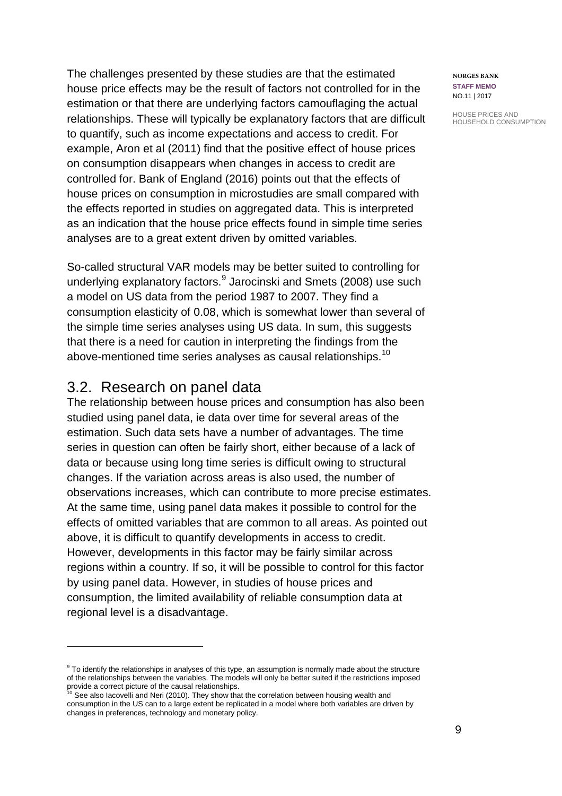The challenges presented by these studies are that the estimated house price effects may be the result of factors not controlled for in the estimation or that there are underlying factors camouflaging the actual relationships. These will typically be explanatory factors that are difficult to quantify, such as income expectations and access to credit. For example, Aron et al (2011) find that the positive effect of house prices on consumption disappears when changes in access to credit are controlled for. Bank of England (2016) points out that the effects of house prices on consumption in microstudies are small compared with the effects reported in studies on aggregated data. This is interpreted as an indication that the house price effects found in simple time series analyses are to a great extent driven by omitted variables.

So-called structural VAR models may be better suited to controlling for underlying explanatory factors.<sup>[9](#page-8-0)</sup> Jarocinski and Smets (2008) use such a model on US data from the period 1987 to 2007. They find a consumption elasticity of 0.08, which is somewhat lower than several of the simple time series analyses using US data. In sum, this suggests that there is a need for caution in interpreting the findings from the above-mentioned time series analyses as causal relationships.<sup>[10](#page-8-1)</sup>

### 3.2. Research on panel data

 $\overline{a}$ 

The relationship between house prices and consumption has also been studied using panel data, ie data over time for several areas of the estimation. Such data sets have a number of advantages. The time series in question can often be fairly short, either because of a lack of data or because using long time series is difficult owing to structural changes. If the variation across areas is also used, the number of observations increases, which can contribute to more precise estimates. At the same time, using panel data makes it possible to control for the effects of omitted variables that are common to all areas. As pointed out above, it is difficult to quantify developments in access to credit. However, developments in this factor may be fairly similar across regions within a country. If so, it will be possible to control for this factor by using panel data. However, in studies of house prices and consumption, the limited availability of reliable consumption data at regional level is a disadvantage.

**NORGES BANK STAFF MEMO** NO.11 | 2017

<span id="page-8-0"></span><sup>&</sup>lt;sup>9</sup> To identify the relationships in analyses of this type, an assumption is normally made about the structure of the relationships between the variables. The models will only be better suited if the restrictions imposed provide a correct picture of the causal relationships.<br><sup>10</sup> See also Iacovelli and Neri (2010). They show that the correlation between housing wealth and

<span id="page-8-1"></span>consumption in the US can to a large extent be replicated in a model where both variables are driven by changes in preferences, technology and monetary policy.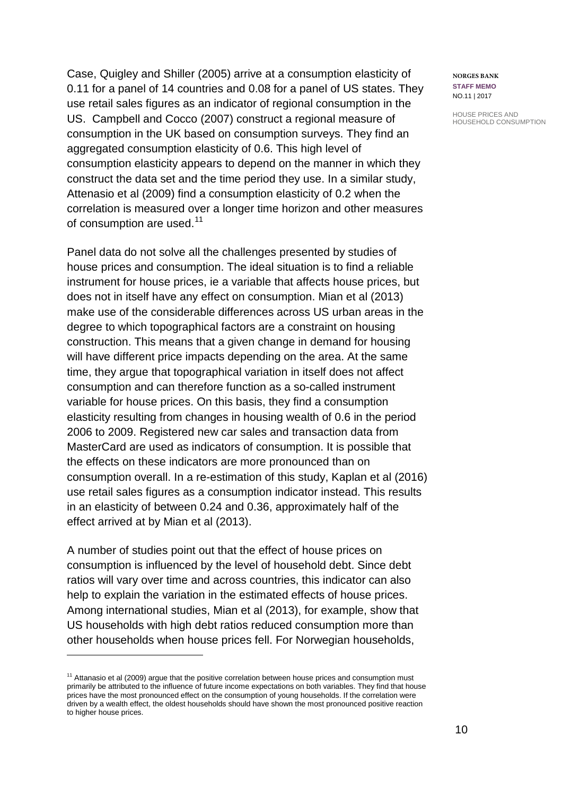Case, Quigley and Shiller (2005) arrive at a consumption elasticity of 0.11 for a panel of 14 countries and 0.08 for a panel of US states. They use retail sales figures as an indicator of regional consumption in the US. Campbell and Cocco (2007) construct a regional measure of consumption in the UK based on consumption surveys. They find an aggregated consumption elasticity of 0.6. This high level of consumption elasticity appears to depend on the manner in which they construct the data set and the time period they use. In a similar study, Attenasio et al (2009) find a consumption elasticity of 0.2 when the correlation is measured over a longer time horizon and other measures of consumption are used.<sup>[11](#page-9-0)</sup>

Panel data do not solve all the challenges presented by studies of house prices and consumption. The ideal situation is to find a reliable instrument for house prices, ie a variable that affects house prices, but does not in itself have any effect on consumption. Mian et al (2013) make use of the considerable differences across US urban areas in the degree to which topographical factors are a constraint on housing construction. This means that a given change in demand for housing will have different price impacts depending on the area. At the same time, they argue that topographical variation in itself does not affect consumption and can therefore function as a so-called instrument variable for house prices. On this basis, they find a consumption elasticity resulting from changes in housing wealth of 0.6 in the period 2006 to 2009. Registered new car sales and transaction data from MasterCard are used as indicators of consumption. It is possible that the effects on these indicators are more pronounced than on consumption overall. In a re-estimation of this study, Kaplan et al (2016) use retail sales figures as a consumption indicator instead. This results in an elasticity of between 0.24 and 0.36, approximately half of the effect arrived at by Mian et al (2013).

A number of studies point out that the effect of house prices on consumption is influenced by the level of household debt. Since debt ratios will vary over time and across countries, this indicator can also help to explain the variation in the estimated effects of house prices. Among international studies, Mian et al (2013), for example, show that US households with high debt ratios reduced consumption more than other households when house prices fell. For Norwegian households,

 $\overline{a}$ 

**NORGES BANK STAFF MEMO** NO.11 | 2017

<span id="page-9-0"></span> $11$  Attanasio et al (2009) argue that the positive correlation between house prices and consumption must primarily be attributed to the influence of future income expectations on both variables. They find that house prices have the most pronounced effect on the consumption of young households. If the correlation were driven by a wealth effect, the oldest households should have shown the most pronounced positive reaction to higher house prices.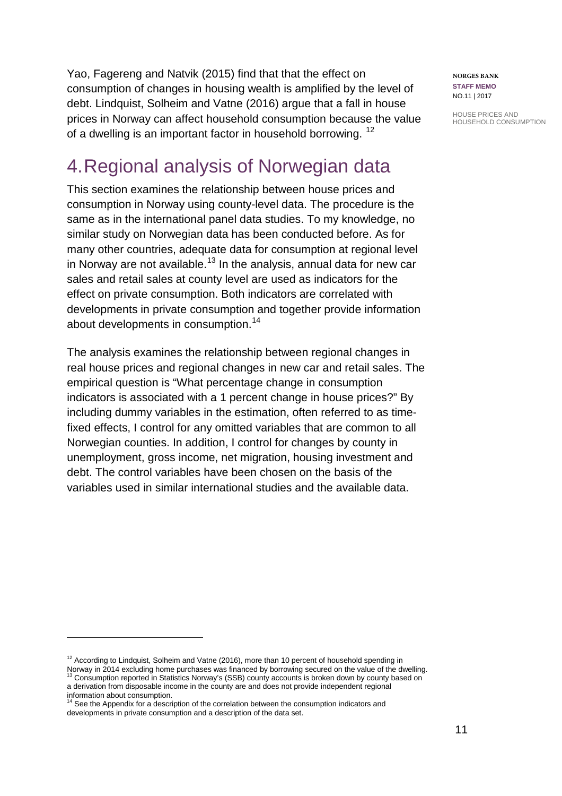Yao, Fagereng and Natvik (2015) find that that the effect on consumption of changes in housing wealth is amplified by the level of debt. Lindquist, Solheim and Vatne (2016) argue that a fall in house prices in Norway can affect household consumption because the value of a dwelling is an important factor in household borrowing. <sup>[12](#page-10-0)</sup>

# 4.Regional analysis of Norwegian data

This section examines the relationship between house prices and consumption in Norway using county-level data. The procedure is the same as in the international panel data studies. To my knowledge, no similar study on Norwegian data has been conducted before. As for many other countries, adequate data for consumption at regional level in Norway are not available.<sup>[13](#page-10-1)</sup> In the analysis, annual data for new car sales and retail sales at county level are used as indicators for the effect on private consumption. Both indicators are correlated with developments in private consumption and together provide information about developments in consumption.<sup>[14](#page-10-2)</sup>

The analysis examines the relationship between regional changes in real house prices and regional changes in new car and retail sales. The empirical question is "What percentage change in consumption indicators is associated with a 1 percent change in house prices?" By including dummy variables in the estimation, often referred to as timefixed effects, I control for any omitted variables that are common to all Norwegian counties. In addition, I control for changes by county in unemployment, gross income, net migration, housing investment and debt. The control variables have been chosen on the basis of the variables used in similar international studies and the available data.

**NORGES BANK STAFF MEMO** NO.11 | 2017

<span id="page-10-0"></span><sup>&</sup>lt;sup>12</sup> According to Lindquist, Solheim and Vatne (2016), more than 10 percent of household spending in

<span id="page-10-1"></span>Norway in 2014 excluding home purchases was financed by borrowing secured on the value of the dwelling.<br><sup>13</sup> Consumption reported in Statistics Norway's (SSB) county accounts is broken down by county based on a derivation from disposable income in the county are and does not provide independent regional

<span id="page-10-2"></span>information about consumption.<br><sup>14</sup> See the Appendix for a description of the correlation between the consumption indicators and developments in private consumption and a description of the data set.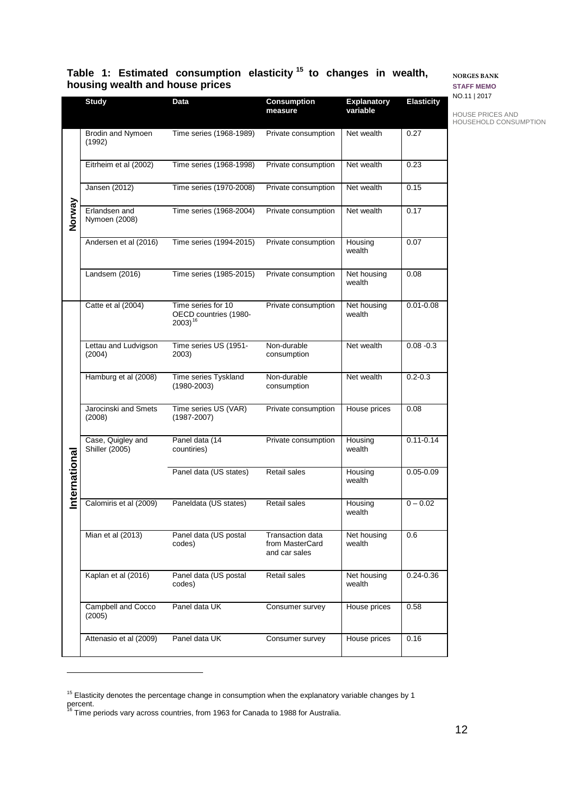#### **Table 1: Estimated consumption elasticity [15](#page-11-0) to changes in wealth, housing wealth and house prices**

**measure**

**Explanatory variable**

**Study Data Consumption** 

#### **NORGES BANK STAFF MEMO**

**Elasticity**

| NO.11   2017 |  |
|--------------|--|

HOUSE PRICES AND HOUSEHOLD CONSUMPTION Brodin and Nymoen Time series (1968-1989) Private consumption | Net wealth | 0.27 (1992) Eitrheim et al (2002) Time series (1968-1998) Private consumption | Net wealth | 0.23 Jansen (2012) Time series (1970-2008) Private consumption Net wealth 0.15 **Norway** Erlandsen and Time series (1968-2004) Private consumption | Net wealth | 0.17 Nymoen (2008) Andersen et al (2016) Time series (1994-2015) Private consumption | Housing 0.07 wealth Landsem (2016) Time series (1985-2015) Private consumption Net housing 0.08 wealth Catte et al (2004) Time series for 10 Private consumption | Net housing 0.01-0.08 wealth OECD countries (1980-<br>2003)<sup>[16](#page-11-1)</sup> Lettau and Ludvigson Time series US (1951- Non-durable Net wealth 0.08 -0.3 (2004) 2003) consumption Hamburg et al (2008) Time series Tyskland Non-durable Net wealth 0.2-0.3 consumption (1980-2003) Time series US (VAR) Jarocinski and Smets Private consumption | House prices | 0.08 (2008) (1987-2007) Panel data (14 Case, Quigley and Private consumption | Housing 0.11-0.14 Shiller (2005) countiries) wealth nternational **International** Panel data (US states) Retail sales | Housing 0.05-0.09 wealth Calomiris et al (2009) Paneldata (US states) Retail sales | Housing  $0 - 0.02$ wealth Mian et al (2013) Panel data (US postal Transaction data Net housing 0.6 codes) from MasterCard wealth and car sales Kaplan et al (2016) Panel data (US postal Retail sales Net housing 0.24-0.36 codes) wealth Campbell and Cocco Panel data UK Consumer survey | House prices | 0.58 (2005) Attenasio et al (2009) Panel data UK Consumer survey | House prices | 0.16

 $\overline{a}$ 

<span id="page-11-0"></span><sup>&</sup>lt;sup>15</sup> Elasticity denotes the percentage change in consumption when the explanatory variable changes by 1

<span id="page-11-1"></span>percent.<br><sup>16</sup> Time periods vary across countries, from 1963 for Canada to 1988 for Australia.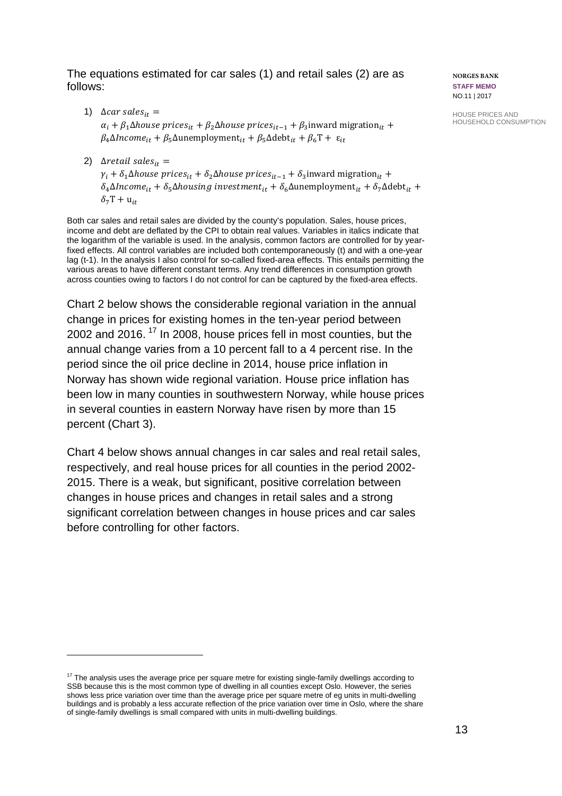The equations estimated for car sales (1) and retail sales (2) are as follows:

- 1)  $\Delta car \, sales_{it} =$  $\alpha_i + \beta_1 \Delta$ house prices<sub>it</sub> +  $\beta_2 \Delta$ house prices<sub>it-1</sub> +  $\beta_3$ inward migration<sub>it</sub> +  $\beta_4\Delta$ Income<sub>it</sub> +  $\beta_5\Delta$ unemployment<sub>it</sub> +  $\beta_5\Delta$ debt<sub>it</sub> +  $\beta_6$ T +  $\varepsilon_{it}$
- 2)  $\Delta$ retail sales<sub>it</sub> =

 $\overline{a}$ 

 $\gamma_i + \delta_1 \Delta$ house prices<sub>it</sub> +  $\delta_2 \Delta$ house prices<sub>it-1</sub> +  $\delta_3$ inward migration<sub>it</sub> +  $\delta_4\Delta$ Income<sub>it</sub> +  $\delta_5\Delta$ housing investment<sub>it</sub> +  $\delta_6\Delta$ unemployment<sub>it</sub> +  $\delta_7\Delta$ debt<sub>it</sub> +  $\delta_7T + u_{it}$ 

Both car sales and retail sales are divided by the county's population. Sales, house prices, income and debt are deflated by the CPI to obtain real values. Variables in italics indicate that the logarithm of the variable is used. In the analysis, common factors are controlled for by yearfixed effects. All control variables are included both contemporaneously (t) and with a one-year lag (t-1). In the analysis I also control for so-called fixed-area effects. This entails permitting the various areas to have different constant terms. Any trend differences in consumption growth across counties owing to factors I do not control for can be captured by the fixed-area effects.

Chart 2 below shows the considerable regional variation in the annual change in prices for existing homes in the ten-year period between 2002 and 2016.<sup>[17](#page-12-0)</sup> In 2008, house prices fell in most counties, but the annual change varies from a 10 percent fall to a 4 percent rise. In the period since the oil price decline in 2014, house price inflation in Norway has shown wide regional variation. House price inflation has been low in many counties in southwestern Norway, while house prices in several counties in eastern Norway have risen by more than 15 percent (Chart 3).

Chart 4 below shows annual changes in car sales and real retail sales, respectively, and real house prices for all counties in the period 2002- 2015. There is a weak, but significant, positive correlation between changes in house prices and changes in retail sales and a strong significant correlation between changes in house prices and car sales before controlling for other factors.

**NORGES BANK STAFF MEMO** NO.11 | 2017

<span id="page-12-0"></span> $17$  The analysis uses the average price per square metre for existing single-family dwellings according to SSB because this is the most common type of dwelling in all counties except Oslo. However, the series shows less price variation over time than the average price per square metre of eg units in multi-dwelling buildings and is probably a less accurate reflection of the price variation over time in Oslo, where the share of single-family dwellings is small compared with units in multi-dwelling buildings.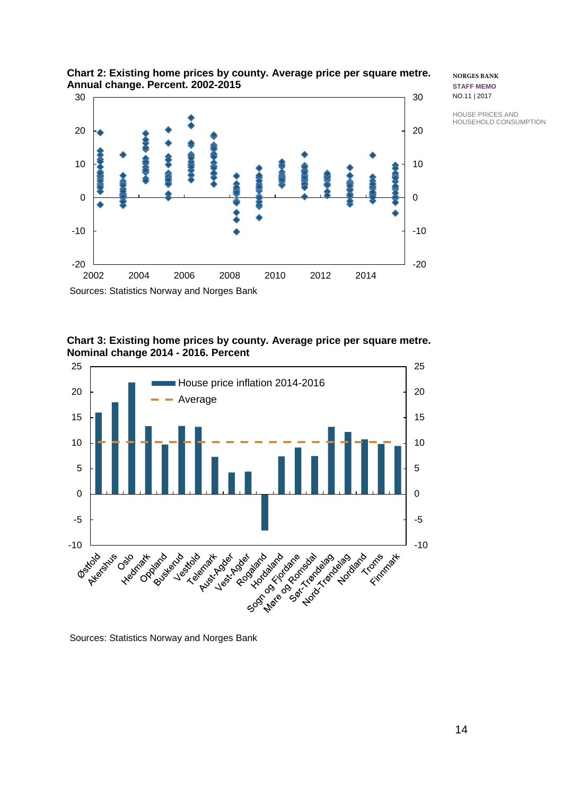

#### **Chart 2: Existing home prices by county. Average price per square metre. Annual change. Percent. 2002-2015**

**NORGES BANK STAFF MEMO** NO.11 | 2017

HOUSE PRICES AND HOUSEHOLD CONSUMPTION

**Chart 3: Existing home prices by county. Average price per square metre. Nominal change 2014 - 2016. Percent** 



Sources: Statistics Norway and Norges Bank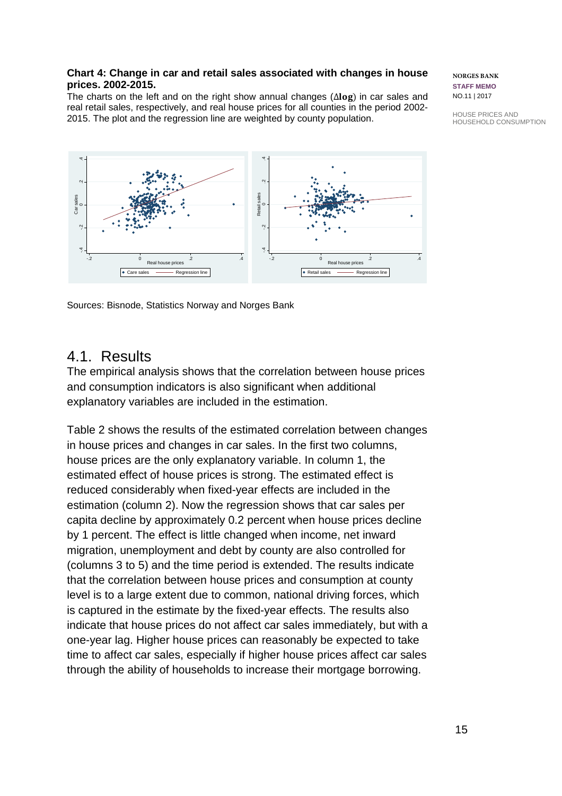#### **Chart 4: Change in car and retail sales associated with changes in house prices. 2002-2015.**

The charts on the left and on the right show annual changes ( $\Delta$ log) in car sales and real retail sales, respectively, and real house prices for all counties in the period 2002- 2015. The plot and the regression line are weighted by county population.



Sources: Bisnode, Statistics Norway and Norges Bank

### 4.1. Results

The empirical analysis shows that the correlation between house prices and consumption indicators is also significant when additional explanatory variables are included in the estimation.

Table 2 shows the results of the estimated correlation between changes in house prices and changes in car sales. In the first two columns, house prices are the only explanatory variable. In column 1, the estimated effect of house prices is strong. The estimated effect is reduced considerably when fixed-year effects are included in the estimation (column 2). Now the regression shows that car sales per capita decline by approximately 0.2 percent when house prices decline by 1 percent. The effect is little changed when income, net inward migration, unemployment and debt by county are also controlled for (columns 3 to 5) and the time period is extended. The results indicate that the correlation between house prices and consumption at county level is to a large extent due to common, national driving forces, which is captured in the estimate by the fixed-year effects. The results also indicate that house prices do not affect car sales immediately, but with a one-year lag. Higher house prices can reasonably be expected to take time to affect car sales, especially if higher house prices affect car sales **Example the ability of the ability of the ability of the ability of the ability of the ability of households to increase their mortgage borrowing.**<br>
Sources: Bisnote, Statistics Noway and Norges Bank<br>
4.1. Results<br>
The e

**NORGES BANK STAFF MEMO** NO.11 | 2017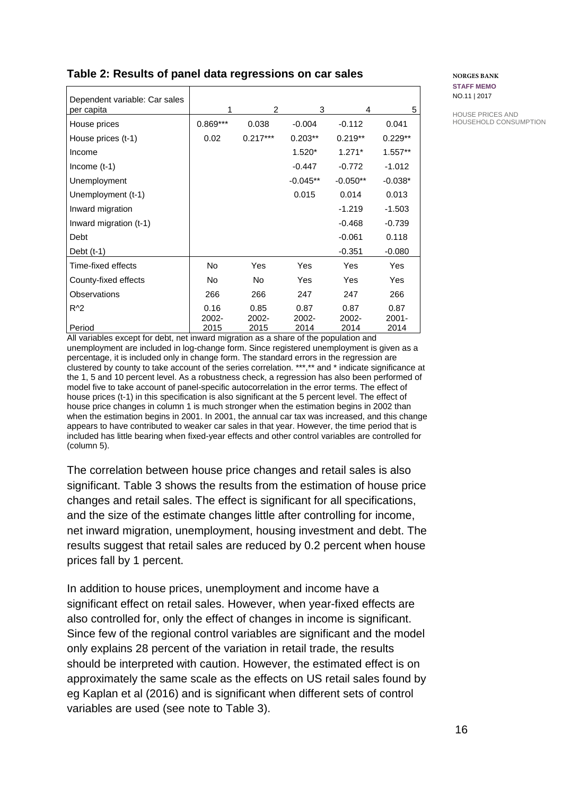| Dependent variable: Car sales<br>per capita | 1             | $\overline{2}$          | 3             | 4             | 5                |
|---------------------------------------------|---------------|-------------------------|---------------|---------------|------------------|
| House prices                                | $0.869***$    | 0.038                   | $-0.004$      | $-0.112$      | 0.041            |
| House prices (t-1)                          | 0.02          | $0.217***$<br>$0.203**$ |               | $0.219**$     | $0.229**$        |
| Income                                      |               |                         | $1.520*$      | $1.271*$      | $1.557**$        |
| Income $(t-1)$                              |               |                         | $-0.447$      | $-0.772$      | $-1.012$         |
| Unemployment                                |               |                         | $-0.045**$    | $-0.050**$    | $-0.038*$        |
| Unemployment (t-1)                          |               |                         | 0.015         | 0.014         | 0.013            |
| Inward migration                            |               |                         |               | $-1.219$      | $-1.503$         |
| Inward migration (t-1)                      |               |                         |               | $-0.468$      | $-0.739$         |
| Debt                                        |               |                         |               | $-0.061$      | 0.118            |
| Debt $(t-1)$                                |               |                         |               | $-0.351$      | $-0.080$         |
| Time-fixed effects                          | No            | Yes                     | Yes           | Yes           | Yes              |
| County-fixed effects                        | No            | No.                     | Yes           | Yes           | Yes              |
| Observations                                | 266           | 266                     | 247           | 247           | 266              |
| $R^2$                                       | 0.16<br>2002- | 0.85<br>2002-           | 0.87<br>2002- | 0.87<br>2002- | 0.87<br>$2001 -$ |
| Period                                      | 2015          | 2015                    | 2014          | 2014          | 2014             |

### **Table 2: Results of panel data regressions on car sales**

All variables except for debt, net inward migration as a share of the population and unemployment are included in log-change form. Since registered unemployment is given as a percentage, it is included only in change form. The standard errors in the regression are clustered by county to take account of the series correlation. \*\*\*,\*\* and \* indicate significance at the 1, 5 and 10 percent level. As a robustness check, a regression has also been performed of model five to take account of panel-specific autocorrelation in the error terms. The effect of house prices (t-1) in this specification is also significant at the 5 percent level. The effect of house price changes in column 1 is much stronger when the estimation begins in 2002 than when the estimation begins in 2001. In 2001, the annual car tax was increased, and this change appears to have contributed to weaker car sales in that year. However, the time period that is included has little bearing when fixed-year effects and other control variables are controlled for (column 5).

The correlation between house price changes and retail sales is also significant. Table 3 shows the results from the estimation of house price changes and retail sales. The effect is significant for all specifications, and the size of the estimate changes little after controlling for income, net inward migration, unemployment, housing investment and debt. The results suggest that retail sales are reduced by 0.2 percent when house prices fall by 1 percent.

In addition to house prices, unemployment and income have a significant effect on retail sales. However, when year-fixed effects are also controlled for, only the effect of changes in income is significant. Since few of the regional control variables are significant and the model only explains 28 percent of the variation in retail trade, the results should be interpreted with caution. However, the estimated effect is on approximately the same scale as the effects on US retail sales found by eg Kaplan et al (2016) and is significant when different sets of control variables are used (see note to Table 3).

**NORGES BANK STAFF MEMO** NO.11 | 2017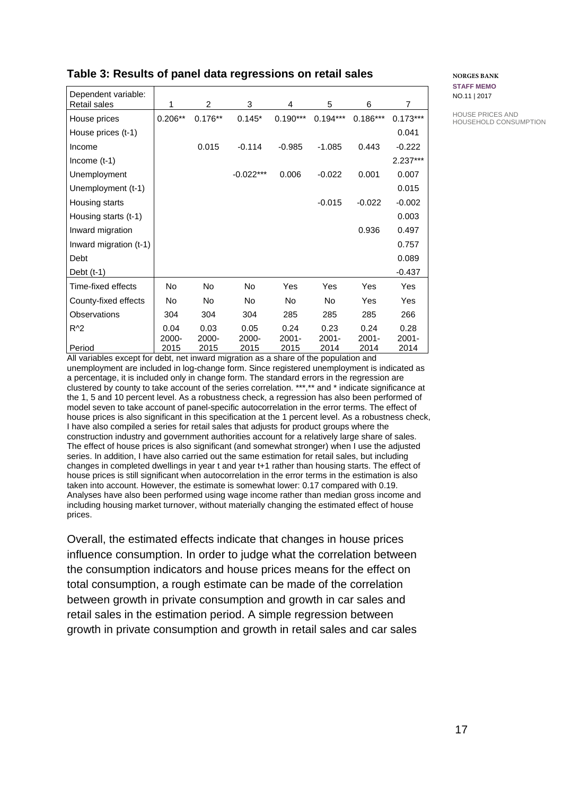#### **Table 3: Results of panel data regressions on retail sales**

| Dependent variable:    |               |                |                  |                  |                  |                  |                  |
|------------------------|---------------|----------------|------------------|------------------|------------------|------------------|------------------|
| Retail sales           | 1             | $\overline{2}$ | 3                | 4                | 5                | 6                | $\overline{7}$   |
| House prices           | $0.206**$     | $0.176**$      | $0.145*$         | $0.190***$       | $0.194***$       | $0.186***$       | $0.173***$       |
| House prices (t-1)     |               |                |                  |                  |                  |                  | 0.041            |
| Income                 |               | 0.015          | $-0.114$         | $-0.985$         | $-1.085$         | 0.443            | $-0.222$         |
| Income $(t-1)$         |               |                |                  |                  |                  |                  | 2.237***         |
| Unemployment           |               |                | $-0.022***$      | 0.006            | $-0.022$         | 0.001            | 0.007            |
| Unemployment (t-1)     |               |                |                  |                  |                  |                  | 0.015            |
| Housing starts         |               |                |                  |                  | $-0.015$         | $-0.022$         | $-0.002$         |
| Housing starts (t-1)   |               |                |                  |                  |                  |                  | 0.003            |
| Inward migration       |               |                |                  |                  |                  | 0.936            | 0.497            |
| Inward migration (t-1) |               |                |                  |                  |                  |                  | 0.757            |
| Debt                   |               |                |                  |                  |                  |                  | 0.089            |
| Debt $(t-1)$           |               |                |                  |                  |                  |                  | $-0.437$         |
| Time-fixed effects     | No            | No             | No               | Yes              | Yes              | Yes              | Yes              |
| County-fixed effects   | No            | No             | No               | No.              | No.              | Yes              | <b>Yes</b>       |
| <b>Observations</b>    | 304           | 304            | 304              | 285              | 285              | 285              | 266              |
| $R^2$                  | 0.04          | 0.03           | 0.05             | 0.24             | 0.23             | 0.24             | 0.28             |
| Period                 | 2000-<br>2015 | 2000-<br>2015  | $2000 -$<br>2015 | $2001 -$<br>2015 | $2001 -$<br>2014 | $2001 -$<br>2014 | $2001 -$<br>2014 |

All variables except for debt, net inward migration as a share of the population and unemployment are included in log-change form. Since registered unemployment is indicated as a percentage, it is included only in change form. The standard errors in the regression are clustered by county to take account of the series correlation. \*\*\*,\*\* and \* indicate significance at the 1, 5 and 10 percent level. As a robustness check, a regression has also been performed of model seven to take account of panel-specific autocorrelation in the error terms. The effect of house prices is also significant in this specification at the 1 percent level. As a robustness check, I have also compiled a series for retail sales that adjusts for product groups where the construction industry and government authorities account for a relatively large share of sales. The effect of house prices is also significant (and somewhat stronger) when I use the adjusted series. In addition, I have also carried out the same estimation for retail sales, but including changes in completed dwellings in year t and year t+1 rather than housing starts. The effect of house prices is still significant when autocorrelation in the error terms in the estimation is also taken into account. However, the estimate is somewhat lower: 0.17 compared with 0.19. Analyses have also been performed using wage income rather than median gross income and including housing market turnover, without materially changing the estimated effect of house prices.

Overall, the estimated effects indicate that changes in house prices influence consumption. In order to judge what the correlation between the consumption indicators and house prices means for the effect on total consumption, a rough estimate can be made of the correlation between growth in private consumption and growth in car sales and retail sales in the estimation period. A simple regression between growth in private consumption and growth in retail sales and car sales **NORGES BANK STAFF MEMO** NO.11 | 2017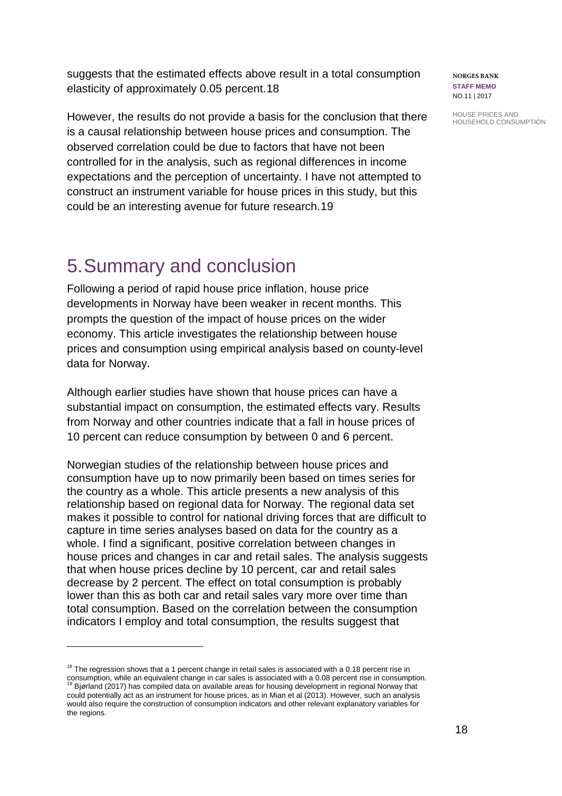suggests that the estimated effects above result in a total consumption elasticity of approximately 0.05 percent.[18](#page-17-0)

However, the results do not provide a basis for the conclusion that there is a causal relationship between house prices and consumption. The observed correlation could be due to factors that have not been controlled for in the analysis, such as regional differences in income expectations and the perception of uncertainty. I have not attempted to construct an instrument variable for house prices in this study, but this could be an interesting avenue for future research.[19](#page-17-1)

## 5.Summary and conclusion

Following a period of rapid house price inflation, house price developments in Norway have been weaker in recent months. This prompts the question of the impact of house prices on the wider economy. This article investigates the relationship between house prices and consumption using empirical analysis based on county-level data for Norway.

Although earlier studies have shown that house prices can have a substantial impact on consumption, the estimated effects vary. Results from Norway and other countries indicate that a fall in house prices of 10 percent can reduce consumption by between 0 and 6 percent.

Norwegian studies of the relationship between house prices and consumption have up to now primarily been based on times series for the country as a whole. This article presents a new analysis of this relationship based on regional data for Norway. The regional data set makes it possible to control for national driving forces that are difficult to capture in time series analyses based on data for the country as a whole. I find a significant, positive correlation between changes in house prices and changes in car and retail sales. The analysis suggests that when house prices decline by 10 percent, car and retail sales decrease by 2 percent. The effect on total consumption is probably lower than this as both car and retail sales vary more over time than total consumption. Based on the correlation between the consumption indicators I employ and total consumption, the results suggest that

 $\overline{a}$ 

**NORGES BANK STAFF MEMO** NO.11 | 2017

<span id="page-17-0"></span> $18$  The regression shows that a 1 percent change in retail sales is associated with a 0.18 percent rise in consumption, while an equivalent change in car sales is associated with a 0.08 percent rise in consumption.<br><sup>19</sup> Bjørland (2017) has compiled data on available areas for housing development in regional Norway that

<span id="page-17-1"></span>could potentially act as an instrument for house prices, as in Mian et al (2013). However, such an analysis would also require the construction of consumption indicators and other relevant explanatory variables for the regions.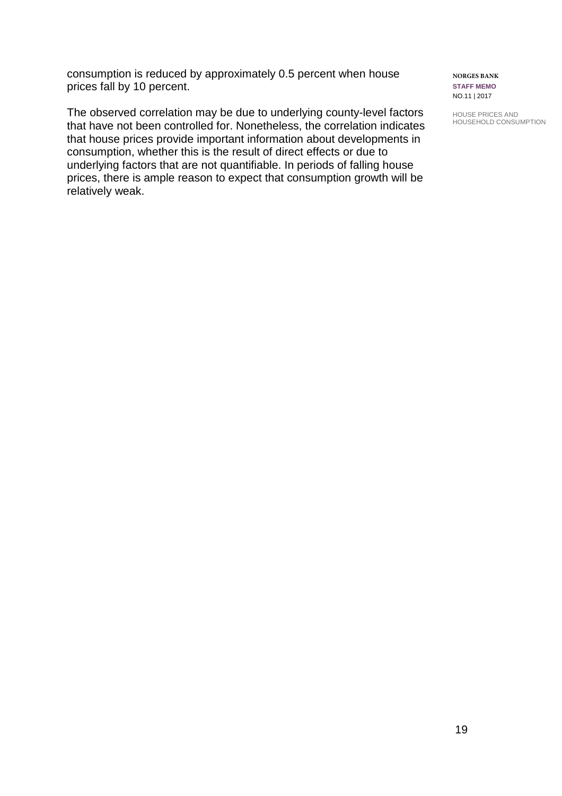consumption is reduced by approximately 0.5 percent when house prices fall by 10 percent.

The observed correlation may be due to underlying county-level factors that have not been controlled for. Nonetheless, the correlation indicates that house prices provide important information about developments in consumption, whether this is the result of direct effects or due to underlying factors that are not quantifiable. In periods of falling house prices, there is ample reason to expect that consumption growth will be relatively weak.

**NORGES BANK STAFF MEMO** NO.11 | 2017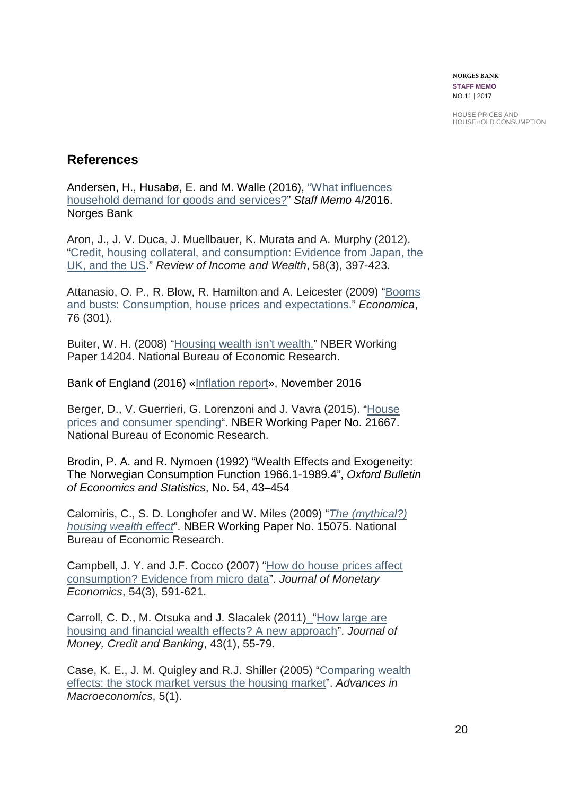**NORGES BANK STAFF MEMO** NO.11 | 2017

HOUSE PRICES AND HOUSEHOLD CONSUMPTION

### **References**

Andersen, H., Husabø, E. and M. Walle (2016), ["What influences](http://www.norges-bank.no/en/Published/Papers/Staff-Memo/2016/Staff-Memo-42016/)  [household demand for goods and services?"](http://www.norges-bank.no/en/Published/Papers/Staff-Memo/2016/Staff-Memo-42016/) *Staff Memo* 4/2016. Norges Bank

Aron, J., J. V. Duca, J. Muellbauer, K. Murata and A. Murphy (2012). ["Credit, housing collateral, and consumption: Evidence from Japan, the](http://onlinelibrary.wiley.com/doi/10.1111/j.1475-4991.2011.00466.x/full)  [UK, and the US.](http://onlinelibrary.wiley.com/doi/10.1111/j.1475-4991.2011.00466.x/full)" *Review of Income and Wealth*, 58(3), 397-423.

Attanasio, O. P., R. Blow, R. Hamilton and A. Leicester (2009) ["Booms](http://onlinelibrary.wiley.com/doi/10.1111/j.1468-0335.2008.00708.x/full)  [and busts: Consumption, house prices and expectations."](http://onlinelibrary.wiley.com/doi/10.1111/j.1468-0335.2008.00708.x/full) *Economica*, 76 (301).

Buiter, W. H. (2008) ["Housing wealth isn't wealth."](http://www.nber.org/papers/w14204) NBER Working Paper 14204. National Bureau of Economic Research.

Bank of England (2016) [«Inflation report»](http://www.bankofengland.co.uk/publications/Documents/inflationreport/2016/nov.pdf), November 2016

Berger, D., V. Guerrieri, G. Lorenzoni and J. Vavra (2015). ["House](http://www.nber.org/papers/w21667)  [prices and consumer spending"](http://www.nber.org/papers/w21667). NBER Working Paper No. 21667. National Bureau of Economic Research.

Brodin, P. A. and R. Nymoen (1992) "Wealth Effects and Exogeneity: The Norwegian Consumption Function 1966.1-1989.4", *Oxford Bulletin of Economics and Statistics*, No. 54, 43–454

Calomiris, C., S. D. Longhofer and W. Miles (2009) "*[The \(mythical?\)](http://www.nber.org/papers/w15075)  [housing wealth effect](http://www.nber.org/papers/w15075)*". NBER Working Paper No. 15075. National Bureau of Economic Research.

Campbell, J. Y. and J.F. Cocco (2007) ["How do house prices affect](http://www.sciencedirect.com/science/article/pii/S0304393206001279)  [consumption? Evidence from micro data"](http://www.sciencedirect.com/science/article/pii/S0304393206001279). *Journal of Monetary Economics*, 54(3), 591-621.

Carroll, C. D., M. Otsuka and J. Slacalek (2011) ["How large are](http://onlinelibrary.wiley.com/doi/10.1111/j.1538-4616.2010.00365.x/full)  [housing and financial wealth effects? A new approach"](http://onlinelibrary.wiley.com/doi/10.1111/j.1538-4616.2010.00365.x/full). *Journal of Money, Credit and Banking*, 43(1), 55-79.

Case, K. E., J. M. Quigley and R.J. Shiller (2005) ["Comparing wealth](https://www.degruyter.com/view/j/bejm.2005.5.1/bejm.2005.5.1.1235/bejm.2005.5.1.1235.xml)  [effects: the stock market versus the housing market"](https://www.degruyter.com/view/j/bejm.2005.5.1/bejm.2005.5.1.1235/bejm.2005.5.1.1235.xml). *Advances in Macroeconomics*, 5(1).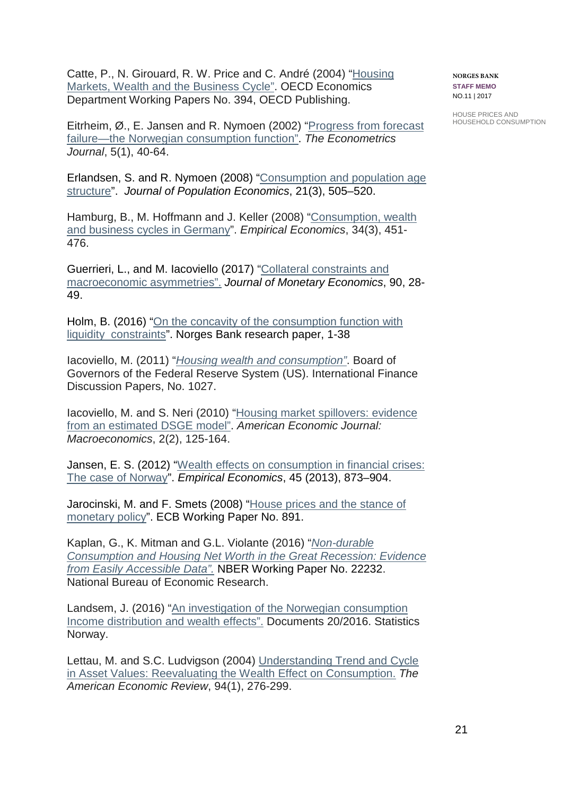Catte, P., N. Girouard, R. W. Price and C. André (2004) ["Housing](https://www.wu.ac.at/fileadmin/wu/d/i/iqv/Gstach/Artikel/Catte_2004.pdf)  [Markets, Wealth and the Business Cycle"](https://www.wu.ac.at/fileadmin/wu/d/i/iqv/Gstach/Artikel/Catte_2004.pdf). OECD Economics Department Working Papers No. 394, OECD Publishing.

Eitrheim, Ø., E. Jansen and R. Nymoen (2002) ["Progress from forecast](http://onlinelibrary.wiley.com/doi/10.1111/1368-423X.t01-1-00072/full)  [failure—the Norwegian consumption function"](http://onlinelibrary.wiley.com/doi/10.1111/1368-423X.t01-1-00072/full). *The Econometrics Journal*, 5(1), 40-64.

Erlandsen, S. and R. Nymoen (2008) ["Consumption and population age](https://rd.springer.com/article/10.1007%2Fs00148-006-0088-5?LI=true)  [structure"](https://rd.springer.com/article/10.1007%2Fs00148-006-0088-5?LI=true). *Journal of Population Economics*, 21(3), 505–520.

Hamburg, B., M. Hoffmann and J. Keller (2008) ["Consumption, wealth](https://rd.springer.com/article/10.1007/s00181-007-0130-9)  [and business cycles in Germany"](https://rd.springer.com/article/10.1007/s00181-007-0130-9). *Empirical Economics*, 34(3), 451- 476.

Guerrieri, L., and M. Iacoviello (2017) ["Collateral constraints and](http://www.sciencedirect.com/science/article/pii/S0304393217300648)  [macroeconomic asymmetries"](http://www.sciencedirect.com/science/article/pii/S0304393217300648). *Journal of Monetary Economics*, 90, 28- 49.

Holm, B. (2016) ["On the concavity of the consumption function with](http://static.norges-bank.no/contentassets/be2fa82a60fd40feb1ba8f38ba5d87a4/working_paper_14_16.pdf?v=03/09/2017123427&ft=.pdf)  [liquidity constraints"](http://static.norges-bank.no/contentassets/be2fa82a60fd40feb1ba8f38ba5d87a4/working_paper_14_16.pdf?v=03/09/2017123427&ft=.pdf). Norges Bank research paper, 1-38

Iacoviello, M. (2011) "*[Housing wealth and consumption"](https://papers.ssrn.com/sol3/papers.cfm?abstract_id=1912953)*. Board of Governors of the Federal Reserve System (US). International Finance Discussion Papers, No. 1027.

Iacoviello, M. and S. Neri (2010) "Housing market spillovers: evidence from [an estimated DSGE model"](https://search.proquest.com/docview/871998084?pq-origsite=gscholar). *American Economic Journal: Macroeconomics*, 2(2), 125-164.

Jansen, E. S. (2012) ["Wealth effects on consumption in financial crises:](https://rd.springer.com/article/10.1007/s00181-012-0640-y)  [The case of Norway"](https://rd.springer.com/article/10.1007/s00181-012-0640-y). *Empirical Economics*, 45 (2013), 873–904.

Jarocinski, M. and F. Smets (2008) ["House prices and the stance of](https://papers.ssrn.com/sol3/papers.cfm?abstract_id=1120167)  [monetary policy"](https://papers.ssrn.com/sol3/papers.cfm?abstract_id=1120167). ECB Working Paper No. 891.

Kaplan, G., K. Mitman and G.L. Violante (2016) "*[Non-durable](http://www.nber.org/papers/w22232)  [Consumption and Housing Net Worth in the Great Recession: Evidence](http://www.nber.org/papers/w22232)  [from Easily Accessible Data"](http://www.nber.org/papers/w22232).* NBER Working Paper No. 22232. National Bureau of Economic Research.

Landsem, J. (2016) ["An investigation of the Norwegian consumption](https://www.ssb.no/en/inntekt-og-forbruk/artikler-og-publikasjoner/_attachment/277782?_ts=15708e127a0)  [Income distribution and](https://www.ssb.no/en/inntekt-og-forbruk/artikler-og-publikasjoner/_attachment/277782?_ts=15708e127a0) wealth effects". Documents 20/2016. Statistics Norway.

Lettau, M. and S.C. Ludvigson (2004) [Understanding Trend and Cycle](http://www.jstor.org/stable/3592779)  [in Asset Values: Reevaluating the Wealth Effect on Consumption.](http://www.jstor.org/stable/3592779) *The American Economic Review*, 94(1), 276-299.

**NORGES BANK STAFF MEMO** NO.11 | 2017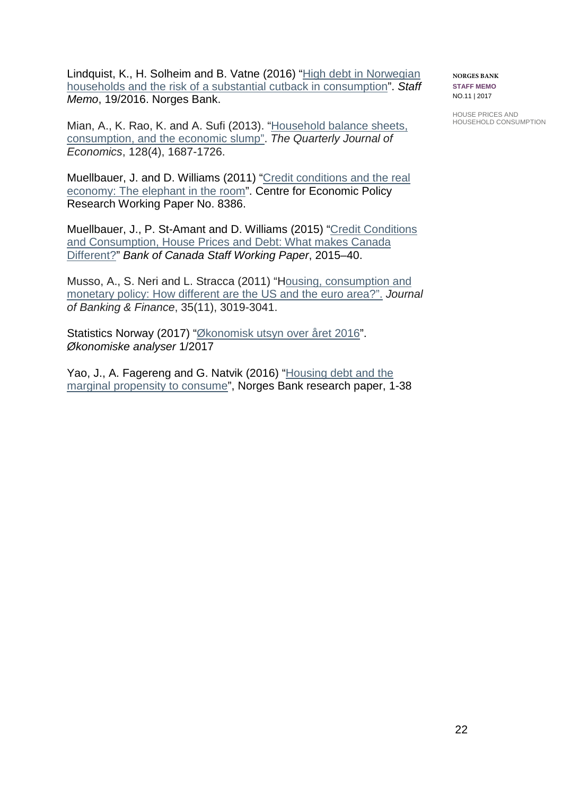Lindquist, K., H. Solheim and B. Vatne (2016) ["High debt in Norwegian](http://www.norges-bank.no/en/Published/Papers/Staff-Memo/2016/Staff-Memo-192016/http:/www.norges-bank.no/en/Published/Papers/Staff-Memo/2016/Staff-Memo-192016/)  households and the risk of a [substantial cutback in consumption"](http://www.norges-bank.no/en/Published/Papers/Staff-Memo/2016/Staff-Memo-192016/http:/www.norges-bank.no/en/Published/Papers/Staff-Memo/2016/Staff-Memo-192016/). *Staff Memo*, 19/2016. Norges Bank.

Mian, A., K. Rao, K. and A. Sufi (2013). ["Household balance sheets,](https://academic.oup.com/qje/article/128/4/1687/1849337/Household-Balance-Sheets-Consumption-and-the)  [consumption, and the economic slump"](https://academic.oup.com/qje/article/128/4/1687/1849337/Household-Balance-Sheets-Consumption-and-the). *The Quarterly Journal of Economics*, 128(4), 1687-1726.

Muellbauer, J. and D. Williams (2011) ["Credit conditions and the real](https://papers.ssrn.com/sol3/papers.cfm?abstract_id=1846288)  [economy: The elephant in the room"](https://papers.ssrn.com/sol3/papers.cfm?abstract_id=1846288). Centre for Economic Policy Research Working Paper No. 8386.

Muellbauer, J., P. St-Amant and D. Williams (2015) ["Credit Conditions](https://www.econstor.eu/bitstream/10419/141983/1/845338528.pdf)  and Consumption, House [Prices and Debt: What makes Canada](https://www.econstor.eu/bitstream/10419/141983/1/845338528.pdf)  [Different?"](https://www.econstor.eu/bitstream/10419/141983/1/845338528.pdf) *Bank of Canada Staff Working Paper*, 2015–40.

Musso, A., S. Neri and L. Stracca (2011) "Housing, consumption and [monetary policy: How different are the US and the euro area?"](http://www.sciencedirect.com/science/article/pii/S0378426611001439). *Journal of Banking & Finance*, 35(11), 3019-3041.

Statistics Norway (2017) ["Økonomisk utsyn over året 2016"](https://www.ssb.no/nasjonalregnskap-og-konjunkturer/oa/1-2017). *Økonomiske analyser* 1/2017

Yao, J., A. Fagereng and G. Natvik (2016) ["Housing debt and the](http://hassler-j.iies.su.se/nordmac/2015/Papers/Jiaxiong.pdf)  [marginal propensity to consume"](http://hassler-j.iies.su.se/nordmac/2015/Papers/Jiaxiong.pdf), Norges Bank research paper, 1-38 **NORGES BANK STAFF MEMO** NO.11 | 2017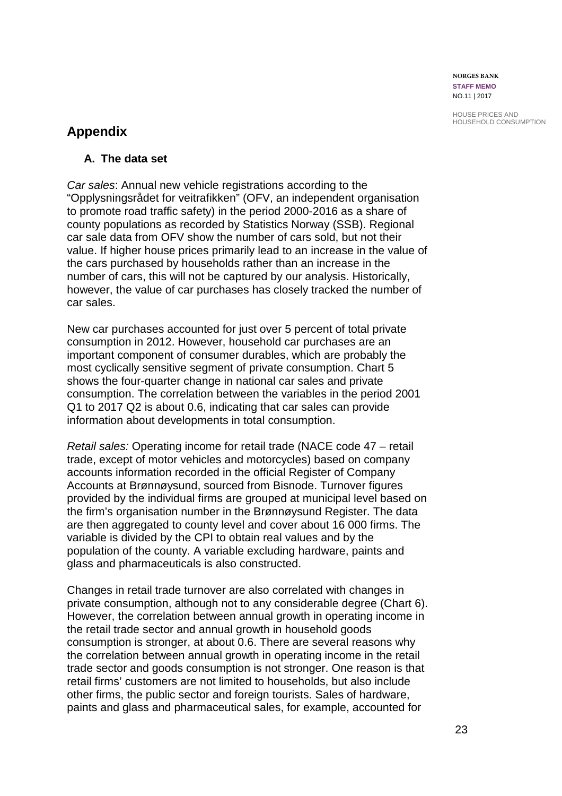**NORGES BANK STAFF MEMO** NO.11 | 2017

HOUSE PRICES AND HOUSEHOLD CONSUMPTION

## **Appendix**

### **A. The data set**

*Car sales*: Annual new vehicle registrations according to the "Opplysningsrådet for veitrafikken" (OFV, an independent organisation to promote road traffic safety) in the period 2000-2016 as a share of county populations as recorded by Statistics Norway (SSB). Regional car sale data from OFV show the number of cars sold, but not their value. If higher house prices primarily lead to an increase in the value of the cars purchased by households rather than an increase in the number of cars, this will not be captured by our analysis. Historically, however, the value of car purchases has closely tracked the number of car sales.

New car purchases accounted for just over 5 percent of total private consumption in 2012. However, household car purchases are an important component of consumer durables, which are probably the most cyclically sensitive segment of private consumption. Chart 5 shows the four-quarter change in national car sales and private consumption. The correlation between the variables in the period 2001 Q1 to 2017 Q2 is about 0.6, indicating that car sales can provide information about developments in total consumption.

*Retail sales:* Operating income for retail trade (NACE code 47 – retail trade, except of motor vehicles and motorcycles) based on company accounts information recorded in the official Register of Company Accounts at Brønnøysund, sourced from Bisnode. Turnover figures provided by the individual firms are grouped at municipal level based on the firm's organisation number in the Brønnøysund Register. The data are then aggregated to county level and cover about 16 000 firms. The variable is divided by the CPI to obtain real values and by the population of the county. A variable excluding hardware, paints and glass and pharmaceuticals is also constructed.

Changes in retail trade turnover are also correlated with changes in private consumption, although not to any considerable degree (Chart 6). However, the correlation between annual growth in operating income in the retail trade sector and annual growth in household goods consumption is stronger, at about 0.6. There are several reasons why the correlation between annual growth in operating income in the retail trade sector and goods consumption is not stronger. One reason is that retail firms' customers are not limited to households, but also include other firms, the public sector and foreign tourists. Sales of hardware, paints and glass and pharmaceutical sales, for example, accounted for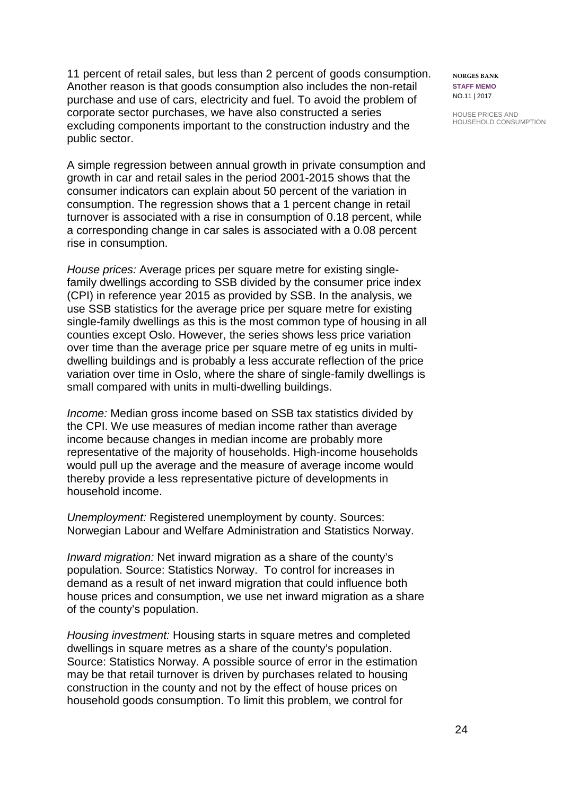11 percent of retail sales, but less than 2 percent of goods consumption. Another reason is that goods consumption also includes the non-retail purchase and use of cars, electricity and fuel. To avoid the problem of corporate sector purchases, we have also constructed a series excluding components important to the construction industry and the public sector.

A simple regression between annual growth in private consumption and growth in car and retail sales in the period 2001-2015 shows that the consumer indicators can explain about 50 percent of the variation in consumption. The regression shows that a 1 percent change in retail turnover is associated with a rise in consumption of 0.18 percent, while a corresponding change in car sales is associated with a 0.08 percent rise in consumption.

*House prices:* Average prices per square metre for existing singlefamily dwellings according to SSB divided by the consumer price index (CPI) in reference year 2015 as provided by SSB. In the analysis, we use SSB statistics for the average price per square metre for existing single-family dwellings as this is the most common type of housing in all counties except Oslo. However, the series shows less price variation over time than the average price per square metre of eg units in multidwelling buildings and is probably a less accurate reflection of the price variation over time in Oslo, where the share of single-family dwellings is small compared with units in multi-dwelling buildings.

*Income:* Median gross income based on SSB tax statistics divided by the CPI. We use measures of median income rather than average income because changes in median income are probably more representative of the majority of households. High-income households would pull up the average and the measure of average income would thereby provide a less representative picture of developments in household income.

*Unemployment:* Registered unemployment by county. Sources: Norwegian Labour and Welfare Administration and Statistics Norway.

*Inward migration:* Net inward migration as a share of the county's population. Source: Statistics Norway. To control for increases in demand as a result of net inward migration that could influence both house prices and consumption, we use net inward migration as a share of the county's population.

*Housing investment:* Housing starts in square metres and completed dwellings in square metres as a share of the county's population. Source: Statistics Norway. A possible source of error in the estimation may be that retail turnover is driven by purchases related to housing construction in the county and not by the effect of house prices on household goods consumption. To limit this problem, we control for

**NORGES BANK STAFF MEMO** NO.11 | 2017